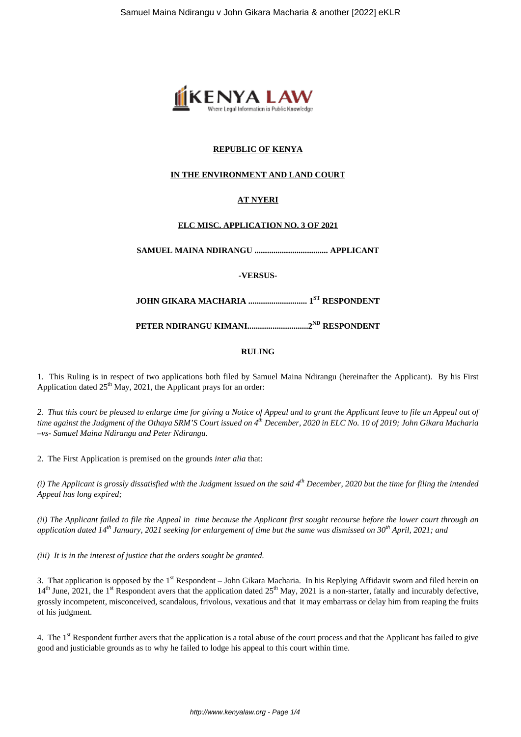

# **REPUBLIC OF KENYA**

## **IN THE ENVIRONMENT AND LAND COURT**

# **AT NYERI**

## **ELC MISC. APPLICATION NO. 3 OF 2021**

**SAMUEL MAINA NDIRANGU ................................... APPLICANT**

**-VERSUS-**

**JOHN GIKARA MACHARIA ............................ 1ST RESPONDENT**

**PETER NDIRANGU KIMANI.............................2ND RESPONDENT**

#### **RULING**

1. This Ruling is in respect of two applications both filed by Samuel Maina Ndirangu (hereinafter the Applicant). By his First Application dated  $25<sup>th</sup>$  May, 2021, the Applicant prays for an order:

*2. That this court be pleased to enlarge time for giving a Notice of Appeal and to grant the Applicant leave to file an Appeal out of time against the Judgment of the Othaya SRM'S Court issued on 4th December, 2020 in ELC No. 10 of 2019; John Gikara Macharia –vs- Samuel Maina Ndirangu and Peter Ndirangu.*

2. The First Application is premised on the grounds *inter alia* that:

*(i) The Applicant is grossly dissatisfied with the Judgment issued on the said 4th December, 2020 but the time for filing the intended Appeal has long expired;*

*(ii) The Applicant failed to file the Appeal in time because the Applicant first sought recourse before the lower court through an application dated 14th January, 2021 seeking for enlargement of time but the same was dismissed on 30th April, 2021; and*

*(iii) It is in the interest of justice that the orders sought be granted.*

3. That application is opposed by the 1<sup>st</sup> Respondent – John Gikara Macharia. In his Replying Affidavit sworn and filed herein on  $14<sup>th</sup>$  June, 2021, the 1<sup>st</sup> Respondent avers that the application dated  $25<sup>th</sup>$  May, 2021 is a non-starter, fatally and incurably defective, grossly incompetent, misconceived, scandalous, frivolous, vexatious and that it may embarrass or delay him from reaping the fruits of his judgment.

4. The 1st Respondent further avers that the application is a total abuse of the court process and that the Applicant has failed to give good and justiciable grounds as to why he failed to lodge his appeal to this court within time.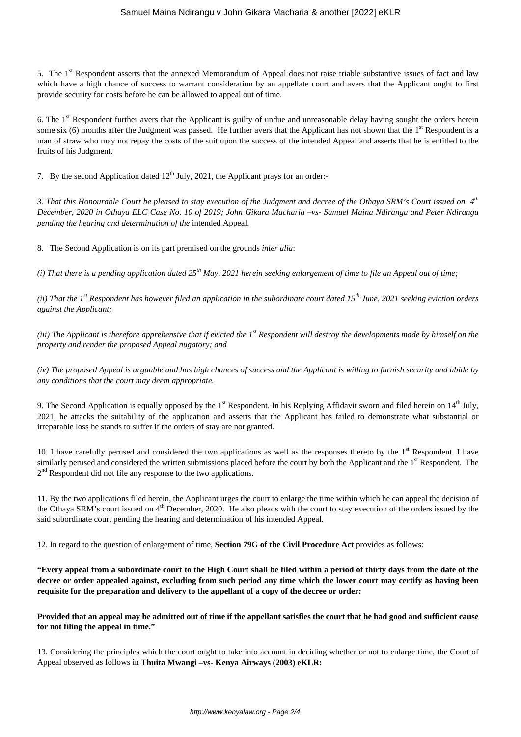5. The  $1<sup>st</sup>$  Respondent asserts that the annexed Memorandum of Appeal does not raise triable substantive issues of fact and law which have a high chance of success to warrant consideration by an appellate court and avers that the Applicant ought to first provide security for costs before he can be allowed to appeal out of time.

6. The 1st Respondent further avers that the Applicant is guilty of undue and unreasonable delay having sought the orders herein some six  $(6)$  months after the Judgment was passed. He further avers that the Applicant has not shown that the  $1<sup>st</sup>$  Respondent is a man of straw who may not repay the costs of the suit upon the success of the intended Appeal and asserts that he is entitled to the fruits of his Judgment.

7. By the second Application dated  $12<sup>th</sup>$  July, 2021, the Applicant prays for an order:-

*3. That this Honourable Court be pleased to stay execution of the Judgment and decree of the Othaya SRM's Court issued on 4th December, 2020 in Othaya ELC Case No. 10 of 2019; John Gikara Macharia –vs- Samuel Maina Ndirangu and Peter Ndirangu pending the hearing and determination of the* intended Appeal.

8. The Second Application is on its part premised on the grounds *inter alia*:

*(i) That there is a pending application dated 25th May, 2021 herein seeking enlargement of time to file an Appeal out of time;*

*(ii) That the 1st Respondent has however filed an application in the subordinate court dated 15th June, 2021 seeking eviction orders against the Applicant;*

*(iii) The Applicant is therefore apprehensive that if evicted the 1st Respondent will destroy the developments made by himself on the property and render the proposed Appeal nugatory; and*

*(iv) The proposed Appeal is arguable and has high chances of success and the Applicant is willing to furnish security and abide by any conditions that the court may deem appropriate.*

9. The Second Application is equally opposed by the  $1<sup>st</sup>$  Respondent. In his Replying Affidavit sworn and filed herein on  $14<sup>th</sup>$  July, 2021, he attacks the suitability of the application and asserts that the Applicant has failed to demonstrate what substantial or irreparable loss he stands to suffer if the orders of stay are not granted.

10. I have carefully perused and considered the two applications as well as the responses thereto by the  $1<sup>st</sup>$  Respondent. I have similarly perused and considered the written submissions placed before the court by both the Applicant and the  $1<sup>st</sup>$  Respondent. The 2<sup>nd</sup> Respondent did not file any response to the two applications.

11. By the two applications filed herein, the Applicant urges the court to enlarge the time within which he can appeal the decision of the Othaya SRM's court issued on  $4<sup>th</sup>$  December, 2020. He also pleads with the court to stay execution of the orders issued by the said subordinate court pending the hearing and determination of his intended Appeal.

12. In regard to the question of enlargement of time, **Section 79G of the Civil Procedure Act** provides as follows:

**"Every appeal from a subordinate court to the High Court shall be filed within a period of thirty days from the date of the decree or order appealed against, excluding from such period any time which the lower court may certify as having been requisite for the preparation and delivery to the appellant of a copy of the decree or order:**

**Provided that an appeal may be admitted out of time if the appellant satisfies the court that he had good and sufficient cause for not filing the appeal in time."**

13. Considering the principles which the court ought to take into account in deciding whether or not to enlarge time, the Court of Appeal observed as follows in **Thuita Mwangi –vs- Kenya Airways (2003) eKLR:**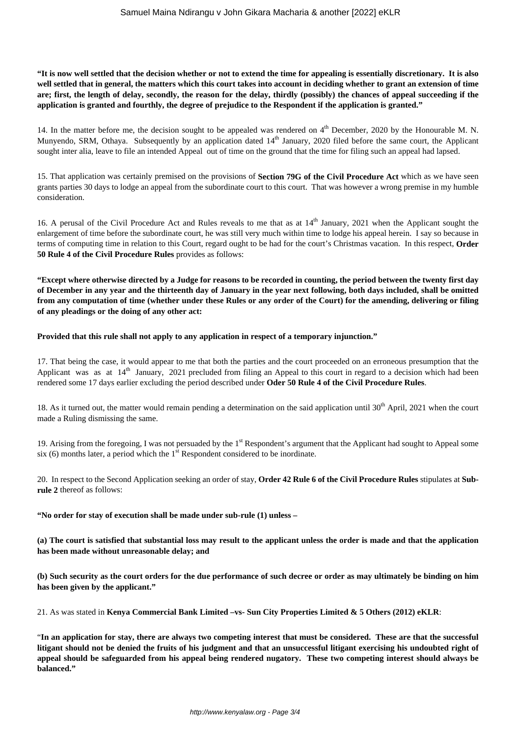**"It is now well settled that the decision whether or not to extend the time for appealing is essentially discretionary. It is also well settled that in general, the matters which this court takes into account in deciding whether to grant an extension of time are; first, the length of delay, secondly, the reason for the delay, thirdly (possibly) the chances of appeal succeeding if the application is granted and fourthly, the degree of prejudice to the Respondent if the application is granted."**

14. In the matter before me, the decision sought to be appealed was rendered on  $4<sup>th</sup>$  December, 2020 by the Honourable M. N. Munyendo, SRM, Othaya. Subsequently by an application dated 14<sup>th</sup> January, 2020 filed before the same court, the Applicant sought inter alia, leave to file an intended Appeal out of time on the ground that the time for filing such an appeal had lapsed.

15. That application was certainly premised on the provisions of **Section 79G of the Civil Procedure Act** which as we have seen grants parties 30 days to lodge an appeal from the subordinate court to this court. That was however a wrong premise in my humble consideration.

16. A perusal of the Civil Procedure Act and Rules reveals to me that as at  $14<sup>th</sup>$  January, 2021 when the Applicant sought the enlargement of time before the subordinate court, he was still very much within time to lodge his appeal herein. I say so because in terms of computing time in relation to this Court, regard ought to be had for the court's Christmas vacation. In this respect, **Order 50 Rule 4 of the Civil Procedure Rules** provides as follows:

**"Except where otherwise directed by a Judge for reasons to be recorded in counting, the period between the twenty first day of December in any year and the thirteenth day of January in the year next following, both days included, shall be omitted from any computation of time (whether under these Rules or any order of the Court) for the amending, delivering or filing of any pleadings or the doing of any other act:**

#### **Provided that this rule shall not apply to any application in respect of a temporary injunction."**

17. That being the case, it would appear to me that both the parties and the court proceeded on an erroneous presumption that the Applicant was as at 14<sup>th</sup> January, 2021 precluded from filing an Appeal to this court in regard to a decision which had been rendered some 17 days earlier excluding the period described under **Oder 50 Rule 4 of the Civil Procedure Rules**.

18. As it turned out, the matter would remain pending a determination on the said application until  $30<sup>th</sup>$  April, 2021 when the court made a Ruling dismissing the same.

19. Arising from the foregoing, I was not persuaded by the 1<sup>st</sup> Respondent's argument that the Applicant had sought to Appeal some six  $(6)$  months later, a period which the  $1<sup>st</sup>$  Respondent considered to be inordinate.

20. In respect to the Second Application seeking an order of stay, **Order 42 Rule 6 of the Civil Procedure Rules** stipulates at **Subrule 2** thereof as follows:

**"No order for stay of execution shall be made under sub-rule (1) unless –**

**(a) The court is satisfied that substantial loss may result to the applicant unless the order is made and that the application has been made without unreasonable delay; and**

**(b) Such security as the court orders for the due performance of such decree or order as may ultimately be binding on him has been given by the applicant."**

21. As was stated in **Kenya Commercial Bank Limited –vs- Sun City Properties Limited & 5 Others (2012) eKLR**:

"**In an application for stay, there are always two competing interest that must be considered. These are that the successful litigant should not be denied the fruits of his judgment and that an unsuccessful litigant exercising his undoubted right of appeal should be safeguarded from his appeal being rendered nugatory. These two competing interest should always be balanced."**